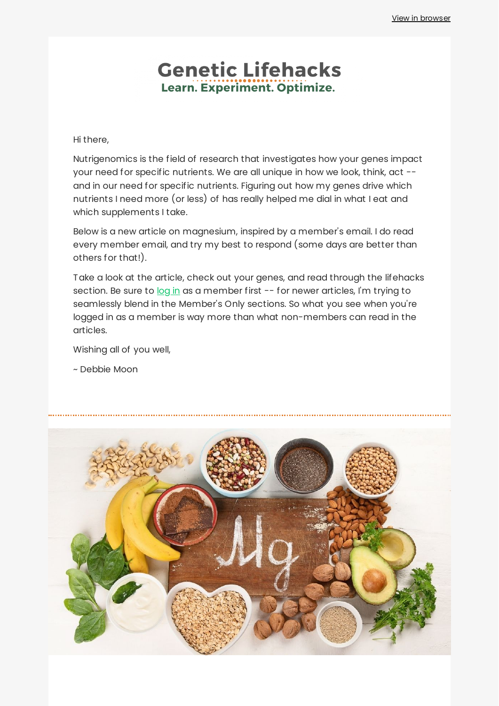## **Genetic Lifehacks** Learn. Experiment. Optimize.

Hi there,

Nutrigenomics is the field of research that investigates how your genes impact your need for specific nutrients. We are all unique in how we look, think, act - and in our need for specific nutrients. Figuring out how my genes drive which nutrients I need more (or less) of has really helped me dial in what I eat and which supplements I take.

Below is a new article on magnesium, inspired by a member's email. I do read every member email, and try my best to respond (some days are better than others for that!).

Take a look at the article, check out your genes, and read through the lifehacks section. Be sure to [log](https://www.geneticlifehacks.com/members-starting-page/) in as a member first -- for newer articles, I'm trying to seamlessly blend in the Member's Only sections. So what you see when you're logged in as a member is way more than what non-members can read in the articles.

Wishing all of you well,

~ Debbie Moon

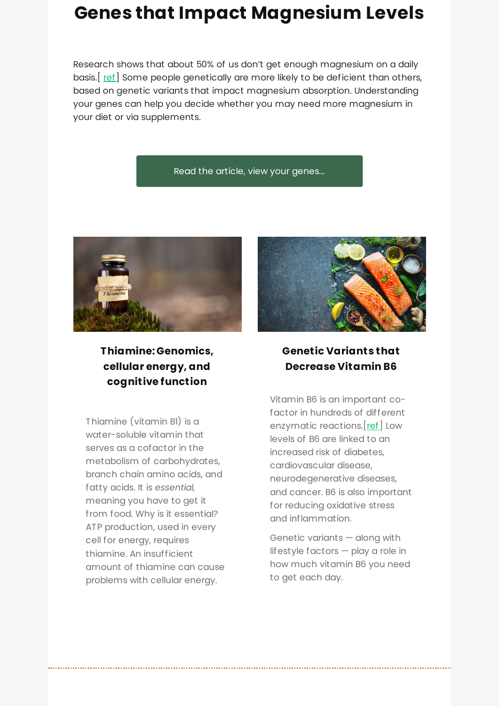# **Genes that Impact [Magnesium](https://www.geneticlifehacks.com/magnesium-levels/) Levels**

Research shows that about 50% of us don't get enough magnesium on a daily basis. [[ref\]](https://www.ncbi.nlm.nih.gov/pmc/articles/PMC4586582/) Some people genetically are more likely to be deficient than others, based on genetic variants that impact magnesium absorption. Understanding your genes can help you decide whether you may need more magnesium in your diet or via supplements.

#### Read the article, view your [genes...](https://www.geneticlifehacks.com/magnesium-levels/)



**Thiamine: [Genomics,](https://www.geneticlifehacks.com/thiamine-genetic-variations-in-need-for-b1/) cellular energy, and cognitive function**

Thiamine (vitamin B1) is a water-soluble vitamin that serves as a cofactor in the metabolism of carbohydrates, branch chain amino acids, and fatty acids. It is *essential,* meaning you have to get it from food. Why is it essential? ATP production, used in every cell for energy, requires thiamine. An insufficient amount of thiamine can cause problems with cellular energy.



### **Genetic Variants that [Decrease](https://www.geneticlifehacks.com/genetic-variants-that-decrease-vitamin-b6/) Vitamin B6**

Vitamin B6 is an important cofactor in hundreds of different enzymatic reactions. [[ref\]](https://www.ncbi.nlm.nih.gov/pmc/articles/PMC6357176/) Low levels of B6 are linked to an increased risk of diabetes, cardiovascular disease, neurodegenerative diseases, and cancer. B6 is also important for reducing oxidative stress and inflammation.

Genetic variants — along with lifestyle factors — play a role in how much vitamin B6 you need to get each day.